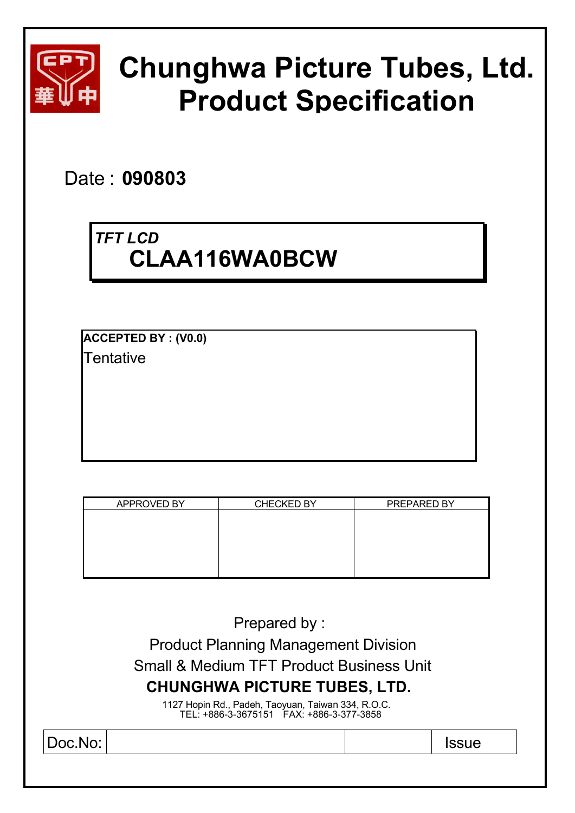

# **Chunghwa Picture Tubes, Ltd. Product Specification**

Date : **090803** 

## *TFT LCD* **CLAA116WA0BCW**

**ACCEPTED BY : (V0.0) Tentative** 

| APPROVED BY | <b>CHECKED BY</b> | PREPARED BY |
|-------------|-------------------|-------------|
|             |                   |             |
|             |                   |             |
|             |                   |             |
|             |                   |             |
|             |                   |             |

Prepared by : Product Planning Management Division

Small & Medium TFT Product Business Unit

## **CHUNGHWA PICTURE TUBES, LTD.**

1127 Hopin Rd., Padeh, Taoyuan, Taiwan 334, R.O.C. TEL: +886-3-3675151 FAX: +886-3-377-3858

Doc.No: Issue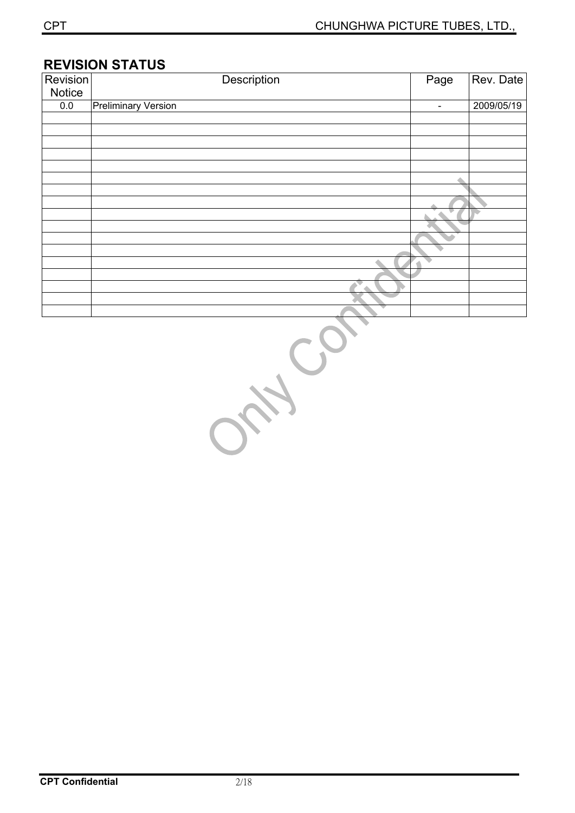#### **REVISION STATUS**

| <b>Revision</b> | Description                | Page                     | Rev. Date  |
|-----------------|----------------------------|--------------------------|------------|
| Notice          |                            |                          |            |
| 0.0             | <b>Preliminary Version</b> | $\overline{\phantom{a}}$ | 2009/05/19 |
|                 |                            |                          |            |
|                 |                            |                          |            |
|                 |                            |                          |            |
|                 |                            |                          |            |
|                 |                            |                          |            |
|                 |                            |                          |            |
|                 |                            |                          |            |
|                 |                            |                          |            |
|                 |                            |                          |            |
|                 |                            |                          |            |
|                 |                            |                          |            |
|                 |                            |                          |            |
|                 |                            |                          |            |
|                 |                            |                          |            |
|                 |                            |                          |            |
|                 |                            |                          |            |
|                 |                            |                          |            |

ON COL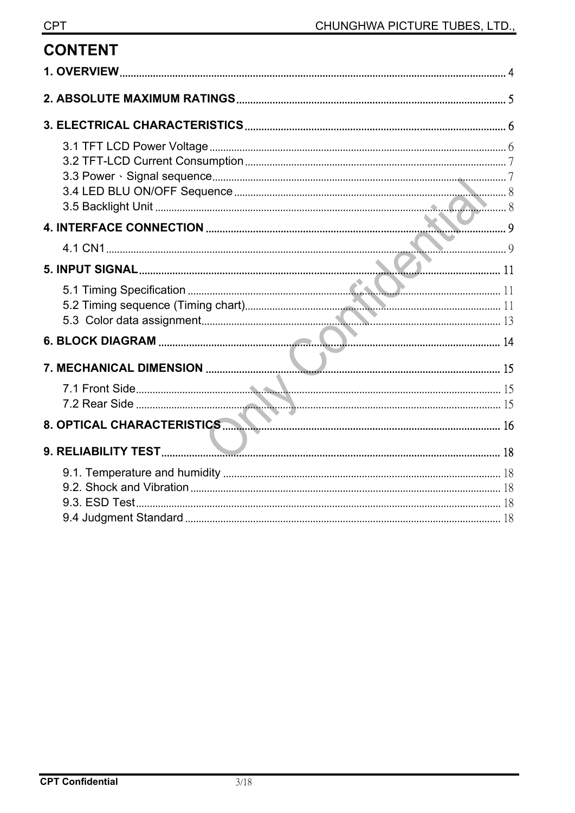**CONTENT**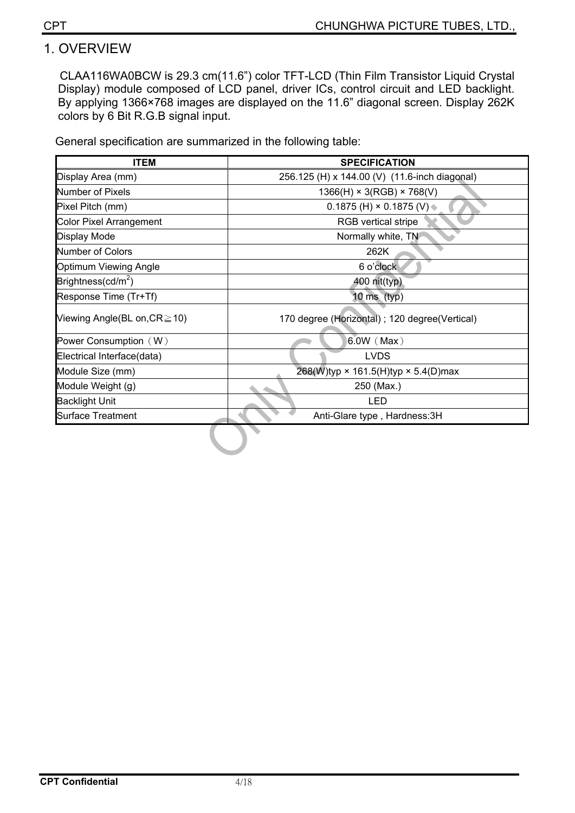## 1. OVERVIEW

CLAA116WA0BCW is 29.3 cm(11.6") color TFT-LCD (Thin Film Transistor Liquid Crystal Display) module composed of LCD panel, driver ICs, control circuit and LED backlight. By applying 1366×768 images are displayed on the 11.6" diagonal screen. Display 262K colors by 6 Bit R.G.B signal input.

General specification are summarized in the following table:

| <b>ITEM</b>                        | <b>SPECIFICATION</b>                              |
|------------------------------------|---------------------------------------------------|
| Display Area (mm)                  | 256.125 (H) x 144.00 (V) (11.6-inch diagonal)     |
| Number of Pixels                   | $1366(H) \times 3(RGB) \times 768(V)$             |
| Pixel Pitch (mm)                   | 0.1875 (H) $\times$ 0.1875 (V) $\triangleq$       |
| <b>Color Pixel Arrangement</b>     | <b>RGB</b> vertical stripe                        |
| Display Mode                       | Normally white, TN                                |
| Number of Colors                   | 262K                                              |
| Optimum Viewing Angle              | 6 o'clock                                         |
| Brightness(cd/m <sup>2</sup> )     | 400 nit(typ)                                      |
| Response Time (Tr+Tf)              | 10 $\text{ms (typ)}$                              |
| Viewing Angle(BL on, $CR \ge 10$ ) | 170 degree (Horizontal); 120 degree(Vertical)     |
| Power Consumption (W)              | $6.0W$ (Max)                                      |
| Electrical Interface(data)         | <b>LVDS</b>                                       |
| Module Size (mm)                   | 268(W)typ $\times$ 161.5(H)typ $\times$ 5.4(D)max |
| Module Weight (g)                  | 250 (Max.)                                        |
| <b>Backlight Unit</b>              | LED                                               |
| <b>Surface Treatment</b>           | Anti-Glare type, Hardness: 3H                     |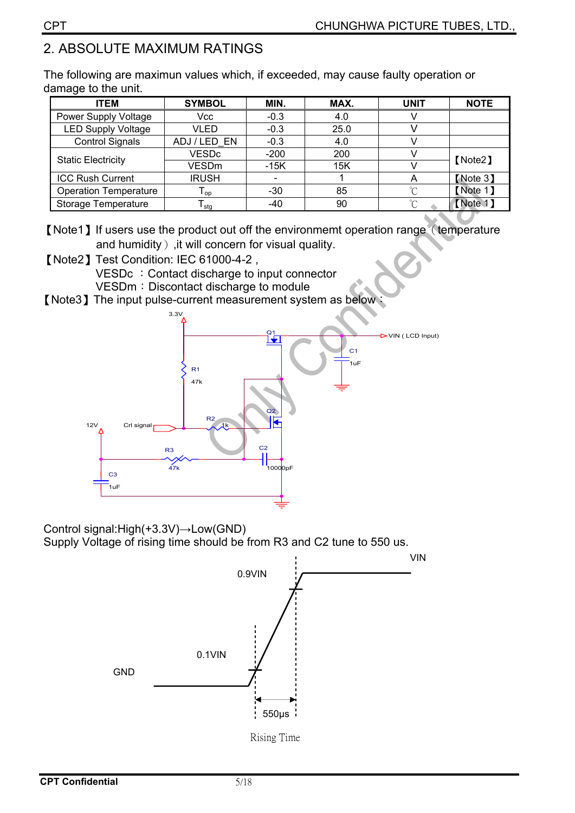## 2. ABSOLUTE MAXIMUM RATINGS

The following are maximun values which, if exceeded, may cause faulty operation or damage to the unit.

| <b>ITEM</b>                  | <b>SYMBOL</b>              | MIN.                     | MAX. | <b>UNIT</b> | <b>NOTE</b> |  |
|------------------------------|----------------------------|--------------------------|------|-------------|-------------|--|
| Power Supply Voltage         | Vcc                        | $-0.3$                   | 4.0  |             |             |  |
| <b>LED Supply Voltage</b>    | VLED                       | $-0.3$                   | 25.0 |             |             |  |
| <b>Control Signals</b>       | ADJ/LED EN                 | $-0.3$                   | 4.0  |             |             |  |
|                              | <b>VESDc</b>               | $-200$                   | 200  |             | [Note2]     |  |
| <b>Static Electricity</b>    | VESDm                      | $-15K$                   | 15K  |             |             |  |
| <b>ICC Rush Current</b>      | <b>IRUSH</b>               | $\overline{\phantom{0}}$ |      | Α           | [Note 3]    |  |
| <b>Operation Temperature</b> | $\mathsf{I}_{\mathsf{op}}$ | -30                      | 85   | $\sim$      | [Note 1]    |  |
| Storage Temperature          | stg                        | -40                      | 90   | $\sim$      | (Note 1)    |  |

[Note1] If users use the product out off the environmemt operation range (temperature and humidity), it will concern for visual quality.

**[Note2] Test Condition: IEC 61000-4-2,** VESDc : Contact discharge to input connector

VESDm: Discontact discharge to module

[Note3] The input pulse-current measurement system as below \;



Control signal: $High(+3.3V) \rightarrow Low(GND)$ Supply Voltage of rising time should be from R3 and C2 tune to 550 us.

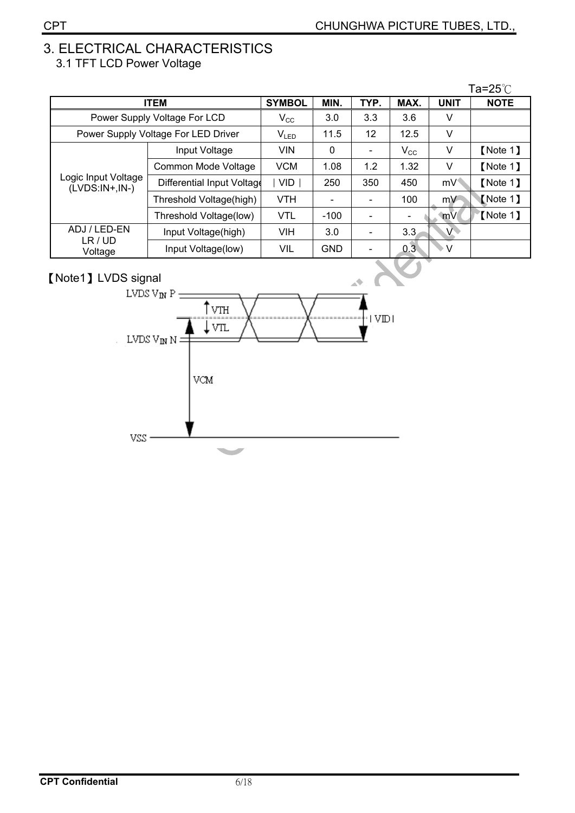#### 3. ELECTRICAL CHARACTERISTICS 3.1 TFT LCD Power Voltage

|                                         |                                     |              |            |      |              |                | Ta=25 $^{\circ}\mathrm{C}$ |
|-----------------------------------------|-------------------------------------|--------------|------------|------|--------------|----------------|----------------------------|
| <b>ITEM</b>                             | <b>SYMBOL</b>                       | MIN.         | TYP.       | MAX. | <b>UNIT</b>  | <b>NOTE</b>    |                            |
|                                         | Power Supply Voltage For LCD        | $V_{\rm CC}$ | 3.0        | 3.3  | 3.6          | V              |                            |
|                                         | Power Supply Voltage For LED Driver | $V_{LED}$    | 11.5       | 12   | 12.5         | V              |                            |
|                                         | Input Voltage                       | <b>VIN</b>   | 0          |      | $V_{\rm CC}$ | V              | [Note 1]                   |
|                                         | Common Mode Voltage                 | <b>VCM</b>   | 1.08       | 1.2  | 1.32         | V              | [Note 1]                   |
| Logic Input Voltage<br>$(LVDS:IN+,IN-)$ | Differential Input Voltage          | VID.         | 250        | 350  | 450          | mV             | [Note 1]                   |
|                                         | Threshold Voltage(high)             | <b>VTH</b>   |            |      | 100          | mV             | Mote 1                     |
|                                         | Threshold Voltage(low)              | <b>VTL</b>   | $-100$     |      |              | mV             | 【Note 1】                   |
| ADJ / LED-EN                            | Input Voltage(high)                 | <b>VIH</b>   | 3.0        |      | 3.3          | $\overline{V}$ |                            |
| LR / UD<br>Voltage                      | Input Voltage(low)                  | VIL          | <b>GND</b> |      | 0.3          | $\vee$         |                            |

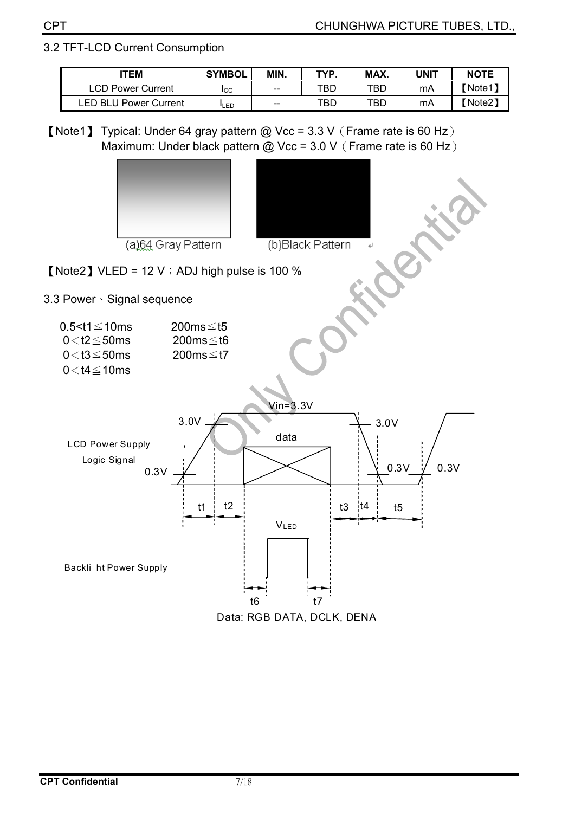#### 3.2 TFT-LCD Current Consumption

| <b>ITEM</b>                     | <b>SYMBOL</b> | MIN.  | TYP | MAX. | JNIT | <b>NOTE</b> |
|---------------------------------|---------------|-------|-----|------|------|-------------|
| <b>LCD Power Current</b>        | <b>I</b> CC   | $- -$ | TBD | TBC  | mA   | Note1)      |
| ED BLU.<br><b>Power Current</b> | <b>I</b> LED  | $-$   | TBD | TBC  | mA   | 【Note2】     |

[Note1] Typical: Under 64 gray pattern @ Vcc = 3.3 V (Frame rate is 60 Hz) Maximum: Under black pattern @ Vcc =  $3.0$  V $($  Frame rate is 60 Hz $)$ 



Data: RGB DATA, DCLK, DENA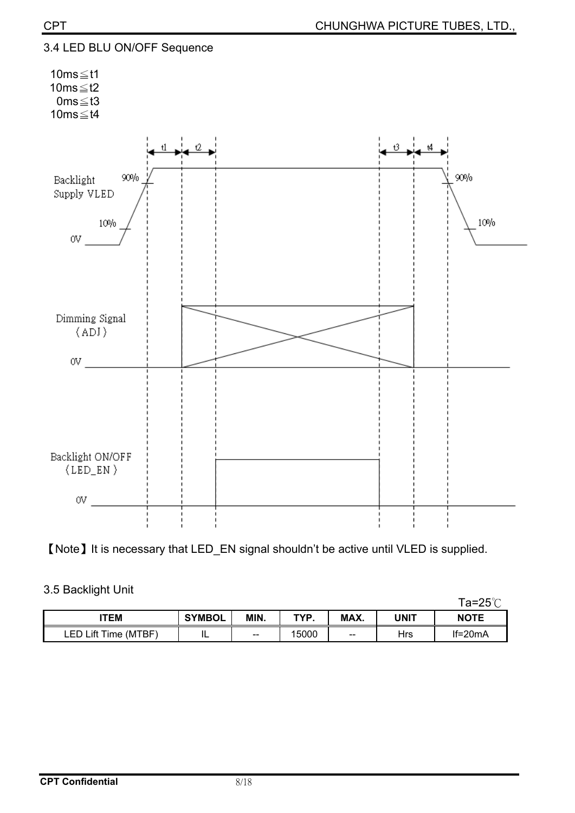

[Note] It is necessary that LED\_EN signal shouldn't be active until VLED is supplied.

|                      |               |      |       |                   |      | Ta=25℃      |
|----------------------|---------------|------|-------|-------------------|------|-------------|
| TEM                  | <b>SYMBOL</b> | MIN. | TYP.  | MAX.              | UNIT | <b>NOTE</b> |
| LED Lift Time (MTBF) | . .           | --   | 15000 | $\hspace{0.05cm}$ | Hrs  | $If=20mA$   |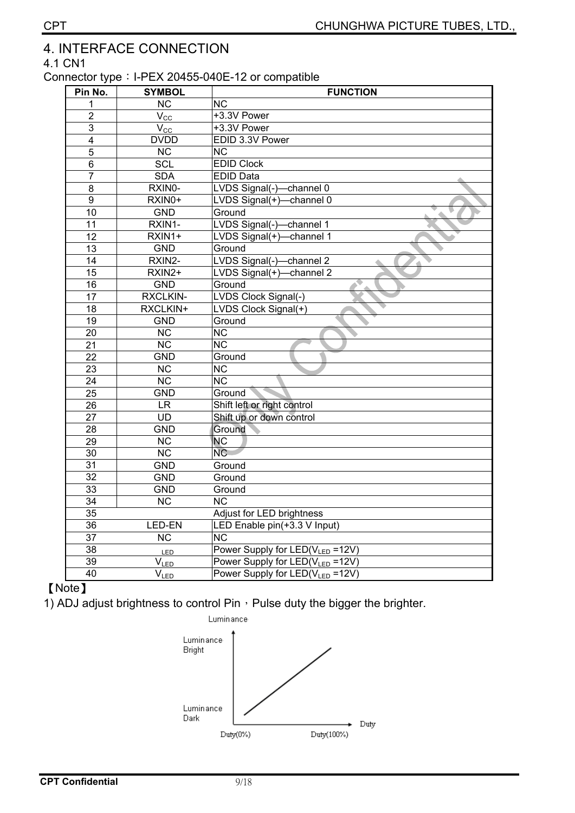## 4. INTERFACE CONNECTION

4.1 CN1

#### Connector type: I-PEX 20455-040E-12 or compatible

| Pin No.         | <b>SYMBOL</b>          | <b>FUNCTION</b>                             |
|-----------------|------------------------|---------------------------------------------|
| 1               | NC                     | <b>NC</b>                                   |
| $\overline{2}$  | $\overline{V_{CC}}$    | +3.3V Power                                 |
| 3               | $V_{\underline{CC}}$   | +3.3V Power                                 |
| 4               | <b>DVDD</b>            | EDID 3.3V Power                             |
| 5               | <b>NC</b>              | $\overline{\text{NC}}$                      |
| $\overline{6}$  | <b>SCL</b>             | <b>EDID Clock</b>                           |
| $\overline{7}$  | <b>SDA</b>             | <b>EDID Data</b>                            |
| 8               | RXIN0-                 | LVDS Signal(-)-channel 0                    |
| 9               | RXIN0+                 | LVDS Signal(+)-channel 0                    |
| 10              | <b>GND</b>             | Ground                                      |
| 11              | RXIN1-                 | LVDS Signal(-)-channel 1                    |
| $\overline{12}$ | RXIN1+                 | LVDS Signal(+)-channel 1                    |
| 13              | <b>GND</b>             | Ground                                      |
| 14              | RXIN2-                 | LVDS Signal(-)-channel 2                    |
| $\overline{15}$ | RXIN2+                 | LVDS Signal(+)-channel 2                    |
| 16              | <b>GND</b>             | Ground                                      |
| 17              | RXCLKIN-               | LVDS Clock Signal(-)                        |
| 18              | RXCLKIN+               | LVDS Clock Signal(+)                        |
| 19              | <b>GND</b>             | Ground                                      |
| 20              | $\overline{\text{NC}}$ | $\overline{\text{NC}}$                      |
| 21              | $\overline{\text{NC}}$ | $\overline{\text{NC}}$                      |
| $\overline{22}$ | <b>GND</b>             | Ground                                      |
| $\overline{23}$ | $\overline{\text{NC}}$ | $\overline{\text{NC}}$                      |
| 24              | $\overline{\text{NC}}$ | $\overline{\text{NC}}$                      |
| 25              | <b>GND</b>             | Ground                                      |
| 26              | <b>LR</b>              | Shift left or right control                 |
| 27              | <b>UD</b>              | Shift up or down control                    |
| 28              | <b>GND</b>             | Ground                                      |
| $\overline{29}$ | $\overline{\text{NC}}$ | NC                                          |
| 30              | $\overline{\text{NC}}$ | NC                                          |
| $\overline{31}$ | <b>GND</b>             | Ground                                      |
| 32              | <b>GND</b>             | Ground                                      |
| 33              | <b>GND</b>             | Ground                                      |
| $\overline{34}$ | $\overline{\text{NC}}$ | $\overline{\text{NC}}$                      |
| 35              |                        | Adjust for LED brightness                   |
| $\overline{36}$ | <b>LED-EN</b>          | LED Enable pin(+3.3 V Input)                |
| $\overline{37}$ | $\overline{\text{NC}}$ | $\overline{\text{NC}}$                      |
| $\overline{38}$ | <b>LED</b>             | Power Supply for LED(V <sub>LED</sub> =12V) |
| 39              | $V_{LED}$              | Power Supply for LED(V <sub>LED</sub> =12V) |
| $\overline{40}$ | $\overline{V}_{LED}$   | Power Supply for LED(V <sub>LED</sub> =12V) |

#### [Note]

1) ADJ adjust brightness to control Pin  $\cdot$  Pulse duty the bigger the brighter.

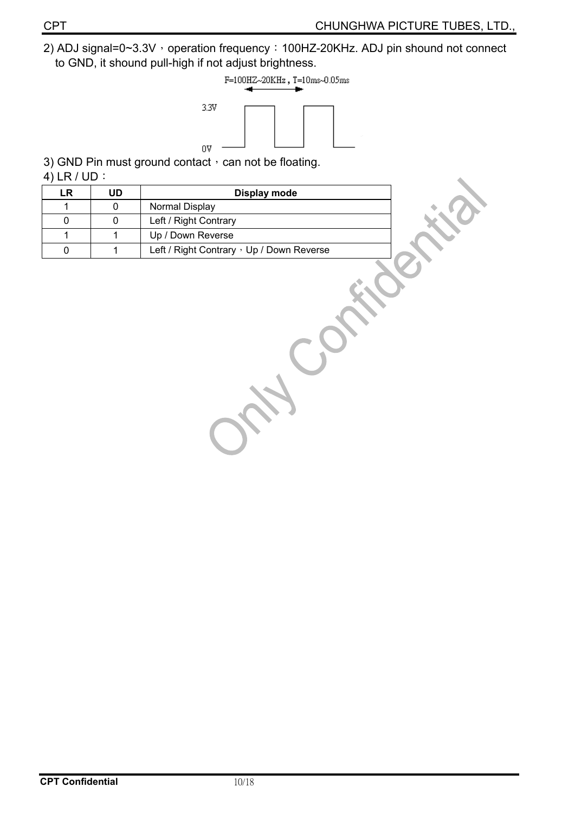2) ADJ signal=0~3.3V, operation frequency: 100HZ-20KHz. ADJ pin shound not connect to GND, it shound pull-high if not adjust brightness.



3) GND Pin must ground contact  $\cdot$  can not be floating.

4) LR  $/$  UD  $:$ 

| <b>LR</b>   | <b>UD</b> | Display mode                              |  |
|-------------|-----------|-------------------------------------------|--|
| 1           | 0         | Normal Display                            |  |
| $\mathbf 0$ | 0         | Left / Right Contrary                     |  |
| 1           | 1         | Up / Down Reverse                         |  |
| 0           | 1         | Left / Right Contrary , Up / Down Reverse |  |
|             |           |                                           |  |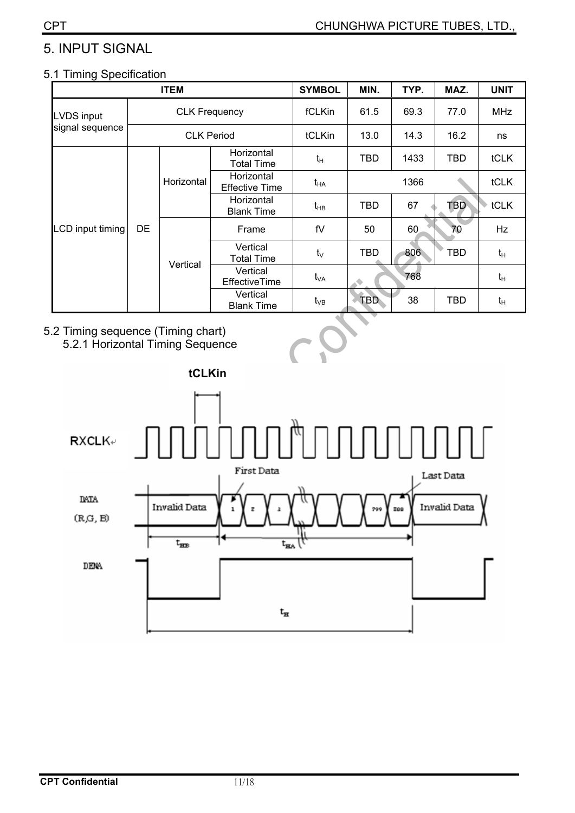## 5. INPUT SIGNAL

#### 5.1 Timing Specification

|                  | <b>ITEM</b>          |            |                                     | <b>SYMBOL</b> | MIN.       | TYP. | MAZ.       | <b>UNIT</b> |
|------------------|----------------------|------------|-------------------------------------|---------------|------------|------|------------|-------------|
| LVDS input       | <b>CLK Frequency</b> |            |                                     | fCLKin        | 61.5       | 69.3 | 77.0       | <b>MHz</b>  |
| signal sequence  |                      |            | <b>CLK Period</b>                   |               | 13.0       | 14.3 | 16.2       | ns          |
|                  |                      |            | Horizontal<br><b>Total Time</b>     | $t_H$         | TBD        | 1433 | TBD        | <b>tCLK</b> |
|                  |                      | Horizontal | Horizontal<br><b>Effective Time</b> | $t_{HA}$      |            | 1366 |            | tCLK        |
|                  | DE<br>Vertical       |            | Horizontal<br><b>Blank Time</b>     | $t_{HB}$      | <b>TBD</b> | 67   | <b>TBD</b> | tCLK        |
| LCD input timing |                      |            | Frame                               | fV            | 50         | 60   | 70         | Hz          |
|                  |                      |            | Vertical<br><b>Total Time</b>       | $t_{\vee}$    | <b>TBD</b> | 806  | TBD        | $t_H$       |
|                  |                      |            | Vertical<br>EffectiveTime           | $t_{VA}$      |            | 768  |            | $t_H$       |
|                  |                      |            | Vertical<br><b>Blank Time</b>       | $t_{VB}$      | <b>TBD</b> | 38   | <b>TBD</b> | $t_H$       |

#### 5.2 Timing sequence (Timing chart)



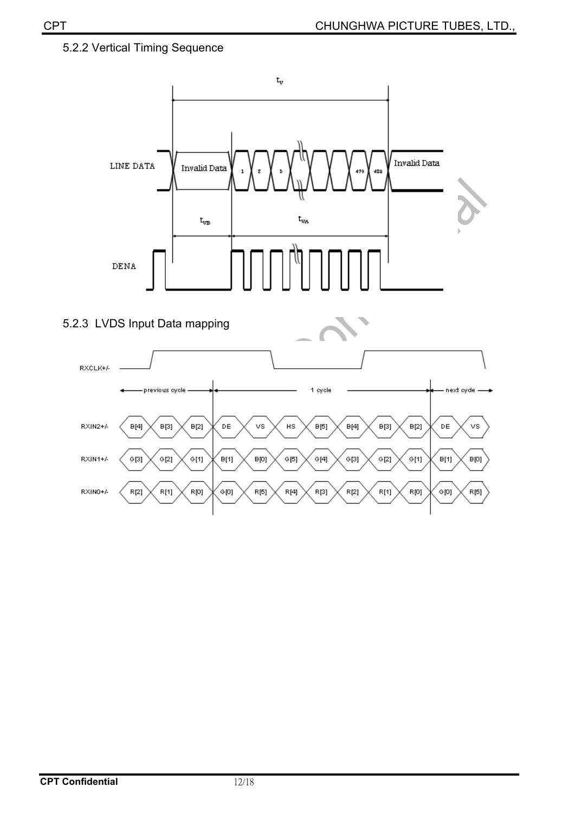#### 5.2.2 Vertical Timing Sequence





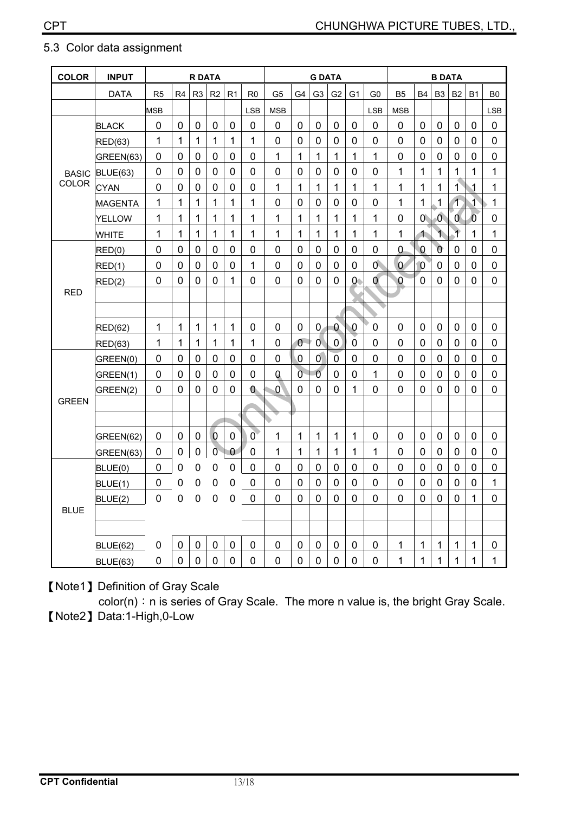| <b>COLOR</b> | <b>INPUT</b>    | <b>R DATA</b>  |                |                |                | <b>G DATA</b>  |                |                |                | <b>B DATA</b>    |                |                |                |                |                  |                          |                |                |                |
|--------------|-----------------|----------------|----------------|----------------|----------------|----------------|----------------|----------------|----------------|------------------|----------------|----------------|----------------|----------------|------------------|--------------------------|----------------|----------------|----------------|
|              | <b>DATA</b>     | R <sub>5</sub> | R <sub>4</sub> | R <sub>3</sub> | R <sub>2</sub> | R <sub>1</sub> | R <sub>0</sub> | G <sub>5</sub> | G <sub>4</sub> | G <sub>3</sub>   | G <sub>2</sub> | G <sub>1</sub> | G <sub>0</sub> | <b>B5</b>      | <b>B4</b>        | B <sub>3</sub>           | B <sub>2</sub> | <b>B1</b>      | B <sub>0</sub> |
|              |                 | <b>MSB</b>     |                |                |                |                | <b>LSB</b>     | <b>MSB</b>     |                |                  |                |                | <b>LSB</b>     | <b>MSB</b>     |                  |                          |                |                | <b>LSB</b>     |
|              | <b>BLACK</b>    | $\mathbf 0$    | $\mathbf 0$    | $\mathbf 0$    | $\pmb{0}$      | $\mathbf 0$    | $\mathbf 0$    | $\mathbf 0$    | $\mathbf 0$    | $\boldsymbol{0}$ | $\pmb{0}$      | $\mathbf 0$    | $\mathbf 0$    | $\mathbf 0$    | $\pmb{0}$        | $\mathbf 0$              | $\mathbf 0$    | $\mathbf 0$    | $\mathbf 0$    |
|              | <b>RED(63)</b>  | 1              | 1              | 1              | 1              | $\mathbf{1}$   | 1              | $\overline{0}$ | $\Omega$       | $\mathbf 0$      | $\overline{0}$ | $\overline{0}$ | 0              | 0              | $\overline{0}$   | $\mathbf 0$              | $\overline{0}$ | $\Omega$       | $\mathbf 0$    |
|              | GREEN(63)       | $\mathbf 0$    | $\overline{0}$ | $\mathbf 0$    | 0              | $\mathbf 0$    | $\overline{0}$ | 1              | $\mathbf{1}$   | 1                | 1              | 1              | 1              | $\overline{0}$ | $\mathbf 0$      | 0                        | 0              | 0              | $\mathbf 0$    |
| <b>BASIC</b> | BLUE(63)        | $\mathbf 0$    | $\mathbf 0$    | $\mathbf 0$    | $\mathbf 0$    | $\mathbf 0$    | $\mathbf 0$    | $\mathbf 0$    | $\mathbf 0$    | $\mathbf 0$      | $\mathbf 0$    | $\pmb{0}$      | 0              | $\mathbf{1}$   | 1                | 1                        | $\mathbf 1$    | 1              | 1              |
| COLOR        | <b>CYAN</b>     | $\overline{0}$ | $\overline{0}$ | 0              | $\overline{0}$ | $\mathbf 0$    | $\overline{0}$ | 1              | 1              | 1                | 1              | 1              | 1              | $\overline{1}$ | 1                | 1                        | 1              | 1              | 1              |
|              | <b>MAGENTA</b>  | 1              | 1              | 1              | 1              | 1              | 1              | 0              | $\mathbf 0$    | $\mathbf 0$      | $\mathbf 0$    | 0              | 0              | 1              | 1                | 1                        | $\overline{1}$ | $\overline{1}$ | 1              |
|              | <b>YELLOW</b>   | 1              | 1              | $\mathbf{1}$   | $\mathbf{1}$   | $\mathbf{1}$   | 1              | 1              | 1              | 1                | $\mathbf{1}$   | 1              | 1              | $\mathbf 0$    | $\overline{0}$   | $\overline{0}$           | 0              | $\overline{0}$ | $\mathbf 0$    |
|              | <b>WHITE</b>    | 1              | 1              | $\mathbf{1}$   | 1              | 1              | 1              | 1              | 1              | 1                | 1              | 1              | 1              | $\mathbf{1}$   | $\blacktriangle$ | $\overline{\phantom{a}}$ | $\overline{1}$ | 1              | 1              |
|              | RED(0)          | $\mathbf 0$    | 0              | 0              | 0              | 0              | 0              | 0              | $\mathbf 0$    | 0                | $\mathbf 0$    | 0              | 0              | 0              | $\overline{0}$   | $\overline{0}$           | 0              | 0              | 0              |
|              | RED(1)          | $\mathbf 0$    | $\overline{0}$ | $\mathbf 0$    | $\mathbf 0$    | $\mathbf 0$    | 1              | $\overline{0}$ | $\mathbf 0$    | $\mathbf 0$      | $\mathbf 0$    | $\mathbf 0$    | $\mathbf{0}$   | $\overline{0}$ | $\overline{0}$   | $\mathbf 0$              | $\mathbf 0$    | $\overline{0}$ | $\mathbf 0$    |
|              | RED(2)          | $\overline{0}$ | $\overline{0}$ | 0              | 0              | 1              | 0              | 0              | $\overline{0}$ | 0                | $\overline{0}$ | $\mathsf{O}$   | Ó              | $\overline{0}$ | $\overline{0}$   | 0                        | 0              | $\Omega$       | $\mathbf 0$    |
| <b>RED</b>   |                 |                |                |                |                |                |                |                |                |                  |                |                |                |                |                  |                          |                |                |                |
|              |                 |                |                |                |                |                |                |                |                |                  |                |                |                |                |                  |                          |                |                |                |
|              | <b>RED(62)</b>  | 1              | 1              | 1              | 1              | 1              | $\mathbf 0$    | 0              | $\mathbf 0$    | $\overline{0}$   | $\mathbf{0}$   | $\overline{0}$ | 0              | $\overline{0}$ | $\mathbf 0$      | $\mathbf 0$              | $\mathbf 0$    | $\mathbf 0$    | 0              |
|              | <b>RED(63)</b>  | 1              | 1              | $\mathbf{1}$   | $\mathbf{1}$   | 1              | 1              | 0              | $\mathbf{0}$   | $\mathbf{0}$     | $\mathbf 0$    | $\mathbf 0$    | 0              | 0              | 0                | $\mathbf 0$              | $\mathbf 0$    | $\mathbf 0$    | $\mathbf 0$    |
|              | GREEN(0)        | $\mathbf 0$    | $\mathbf 0$    | $\pmb{0}$      | $\pmb{0}$      | $\pmb{0}$      | $\mathbf 0$    | $\mathbf 0$    | $\mathbf 0$    | $\overline{0}$   | $\pmb{0}$      | $\pmb{0}$      | $\mathbf 0$    | $\overline{0}$ | $\pmb{0}$        | $\pmb{0}$                | $\mathbf 0$    | $\overline{0}$ | $\mathbf 0$    |
|              | GREEN(1)        | $\mathbf 0$    | $\mathbf 0$    | 0              | $\mathbf 0$    | $\mathbf 0$    | 0              | Q              | $\overline{0}$ | $\overline{0}$   | $\mathbf 0$    | 0              | 1              | $\overline{0}$ | $\mathbf 0$      | $\mathbf 0$              | $\mathbf 0$    | $\Omega$       | 0              |
|              | GREEN(2)        | 0              | 0              | 0              | 0              | 0              | $\bf{0}$       | $\mathbf{0}$   | $\overline{0}$ | 0                | 0              | 1              | 0              | $\overline{0}$ | $\overline{0}$   | 0                        | 0              | 0              | 0              |
| <b>GREEN</b> |                 |                |                |                |                |                |                |                |                |                  |                |                |                |                |                  |                          |                |                |                |
|              |                 |                |                |                |                |                |                |                |                |                  |                |                |                |                |                  |                          |                |                |                |
|              | GREEN(62)       | 0              | 0              | 0              | $\bf{0}$       | 0              | $\overline{0}$ | 1              | 1              | 1                | 1              | 1              | 0              | 0              | 0                | 0                        | 0              | 0              | 0              |
|              | GREEN(63)       | $\mathbf 0$    | $\mathbf 0$    | $\mathbf 0$    | $\overline{0}$ | $\overline{0}$ | $\mathbf 0$    | 1              | $\mathbf{1}$   | $\mathbf{1}$     | 1              | $\mathbf{1}$   | 1              | $\overline{0}$ | $\pmb{0}$        | $\mathbf 0$              | $\mathbf 0$    | $\overline{0}$ | $\pmb{0}$      |
| <b>BLUE</b>  | BLUE(0)         | $\mathbf 0$    | $\mathbf 0$    | $\mathbf 0$    | 0              | $\mathbf 0$    | $\mathbf 0$    | $\overline{0}$ | $\mathbf 0$    | $\mathbf 0$      | $\mathbf 0$    | $\mathbf 0$    | 0              | $\overline{0}$ | $\mathbf 0$      | $\mathbf 0$              | $\mathbf 0$    | $\overline{0}$ | $\pmb{0}$      |
|              | BLUE(1)         | 0              | 0              | 0              | 0              | 0              | $\mathbf 0$    | 0              | $\overline{0}$ | $\mathbf 0$      | $\mathbf 0$    | 0              | 0              | 0              | $\mathbf 0$      | 0                        | $\mathbf 0$    | 0              | 1              |
|              | BLUE(2)         | $\overline{0}$ | $\overline{0}$ | $\overline{0}$ | $\overline{0}$ | 0              | $\mathbf 0$    | 0              | $\overline{0}$ | $\mathbf 0$      | $\overline{0}$ | 0              | 0              | 0              | 0                | 0                        | 0              | 1              | $\mathbf 0$    |
|              |                 |                |                |                |                |                |                |                |                |                  |                |                |                |                |                  |                          |                |                |                |
|              |                 |                |                |                |                |                |                |                |                |                  |                |                |                |                |                  |                          |                |                |                |
|              | <b>BLUE(62)</b> | 0              | 0              | 0              | 0              | $\pmb{0}$      | 0              | 0              | 0              | 0                | 0              | 0              | 0              | 1              | 1                | 1                        | 1              | $\mathbf 1$    | $\pmb{0}$      |
|              | <b>BLUE(63)</b> | 0              | $\overline{0}$ | $\overline{0}$ | $\overline{0}$ | 0              | $\overline{0}$ | 0              | $\overline{0}$ | $\mathbf 0$      | $\overline{0}$ | 0              | 0              | 1              | 1                | 1                        | 1              | 1              | 1              |

#### 5.3 Color data assignment

[Note1] Definition of Gray Scale

color(n): n is series of Gray Scale. The more n value is, the bright Gray Scale. **[Note2] Data:1-High,0-Low**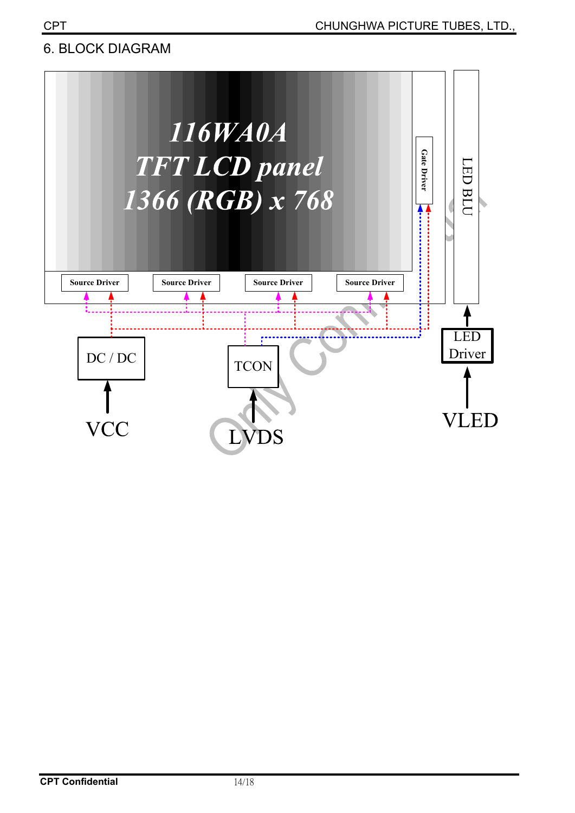## **6. BLOCK DIAGRAM**

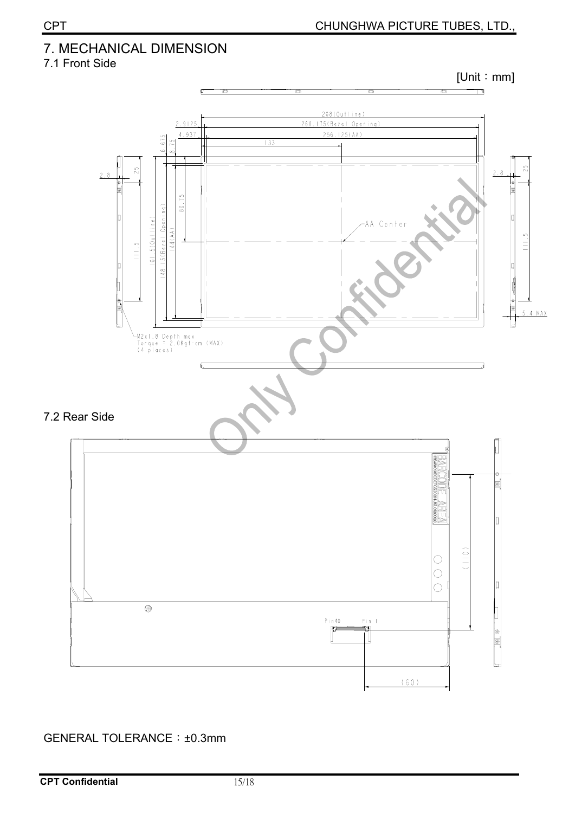## 7. MECHANICAL DIMENSION

7.1 Front Side



#### GENERAL TOLERANCE: ±0.3mm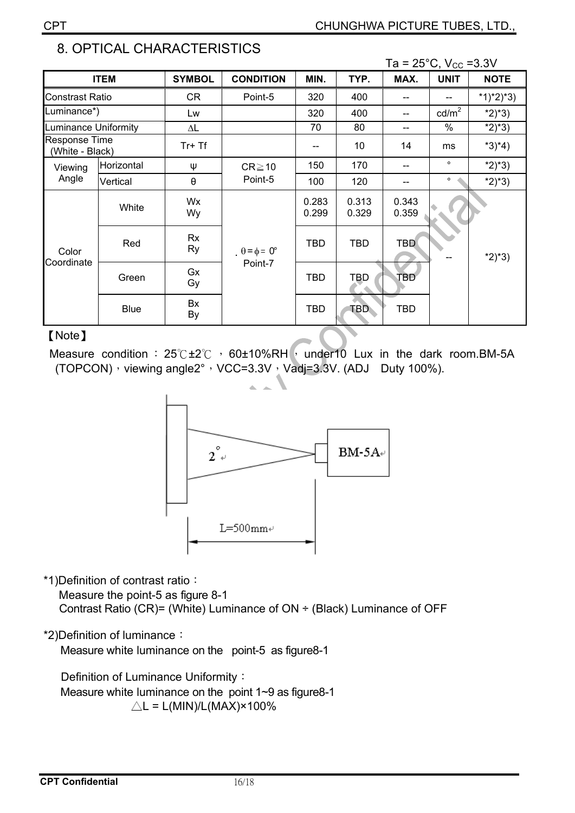$\sim$ 

|                                  |             |                       |                             |                |                | Ta = 25°C, V <sub>CC</sub> =3.3V |                 |             |
|----------------------------------|-------------|-----------------------|-----------------------------|----------------|----------------|----------------------------------|-----------------|-------------|
|                                  | <b>ITEM</b> | <b>SYMBOL</b>         | <b>CONDITION</b>            | MIN.           | TYP.           | MAX.                             | <b>UNIT</b>     | <b>NOTE</b> |
| <b>Constrast Ratio</b>           |             | CR                    | Point-5                     | 320            | 400            |                                  |                 | $*1)*2)*3)$ |
| Luminance*)                      |             | Lw                    |                             | 320            | 400            |                                  | $\text{cd/m}^2$ | $*2)*3)$    |
| <b>Luminance Uniformity</b>      |             | $\Delta \mathsf{L}$   |                             | 70             | 80             | --                               | $\%$            | $*2)*3)$    |
| Response Time<br>(White - Black) |             | Tr+Tf                 |                             |                | 10             | 14                               | ms              | $*3)*4)$    |
| Viewing<br>Angle                 | Horizontal  | Ψ                     | $CR \ge 10$                 | 150            | 170            |                                  | $\circ$         | $*2)*3)$    |
|                                  | Vertical    | $\boldsymbol{\theta}$ | Point-5                     | 100            | 120            |                                  | $\circ$         | $*2)*3)$    |
| Color<br>Coordinate              | White       | Wx<br>Wy              |                             | 0.283<br>0.299 | 0.313<br>0.329 | 0.343<br>0.359                   |                 |             |
|                                  | Red         | Rx<br>Ry              | $\theta = \phi = 0^{\circ}$ | <b>TBD</b>     | <b>TBD</b>     | <b>TBD</b>                       |                 | $*2)*3)$    |
|                                  | Green       | Gx<br>Gy              | Point-7                     | <b>TBD</b>     | TBD            | TBD                              |                 |             |
|                                  | <b>Blue</b> | Bx<br>By              |                             | <b>TBD</b>     | TBD.           | TBD                              |                 |             |

## 8. OPTICAL CHARACTERISTICS

#### [Note]

Measure condition:  $25^{\circ}$  +  $25^{\circ}$  +  $60\pm10\%$  RH  $\prime$  under 10 Lux in the dark room. BM-5A (TOPCON) , viewing angle2°, VCC=3.3V, Vadj=3.3V. (ADJ Duty 100%).



\*1) Definition of contrast ratio:

Measure the point-5 as figure 8-1 Contrast Ratio (CR)= (White) Luminance of ON ÷ (Black) Luminance of OFF

\*2) Definition of luminance:

Measure white luminance on the point-5 as figure8-1

Definition of Luminance Uniformity: Measure white luminance on the point 1~9 as figure8-1  $\triangle L = L(MIN)/L(MAX) \times 100\%$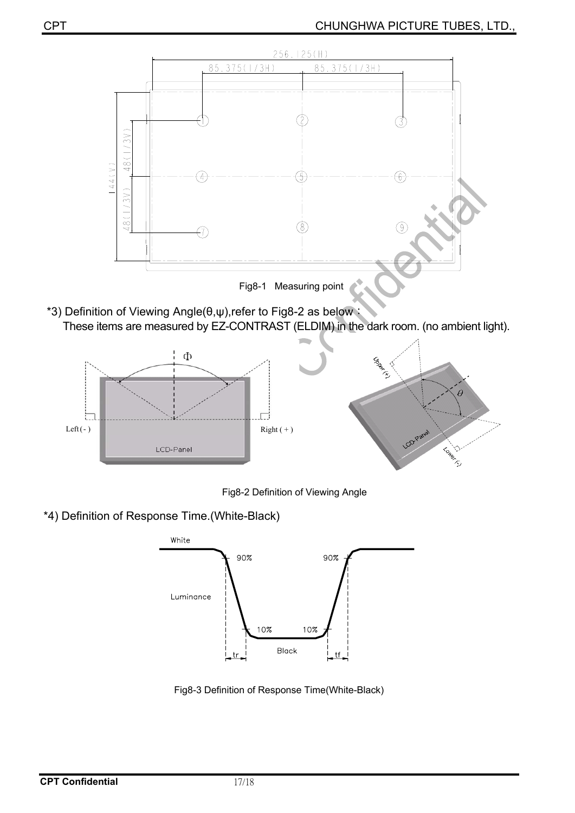

\*3) Definition of Viewing Angle(θ,ψ),refer to Fig8-2 as below: These items are measured by EZ-CONTRAST (ELDIM) in the dark room. (no ambient light).



Fig8-2 Definition of Viewing Angle

\*4) Definition of Response Time.(White-Black)



Fig8-3 Definition of Response Time(White-Black)